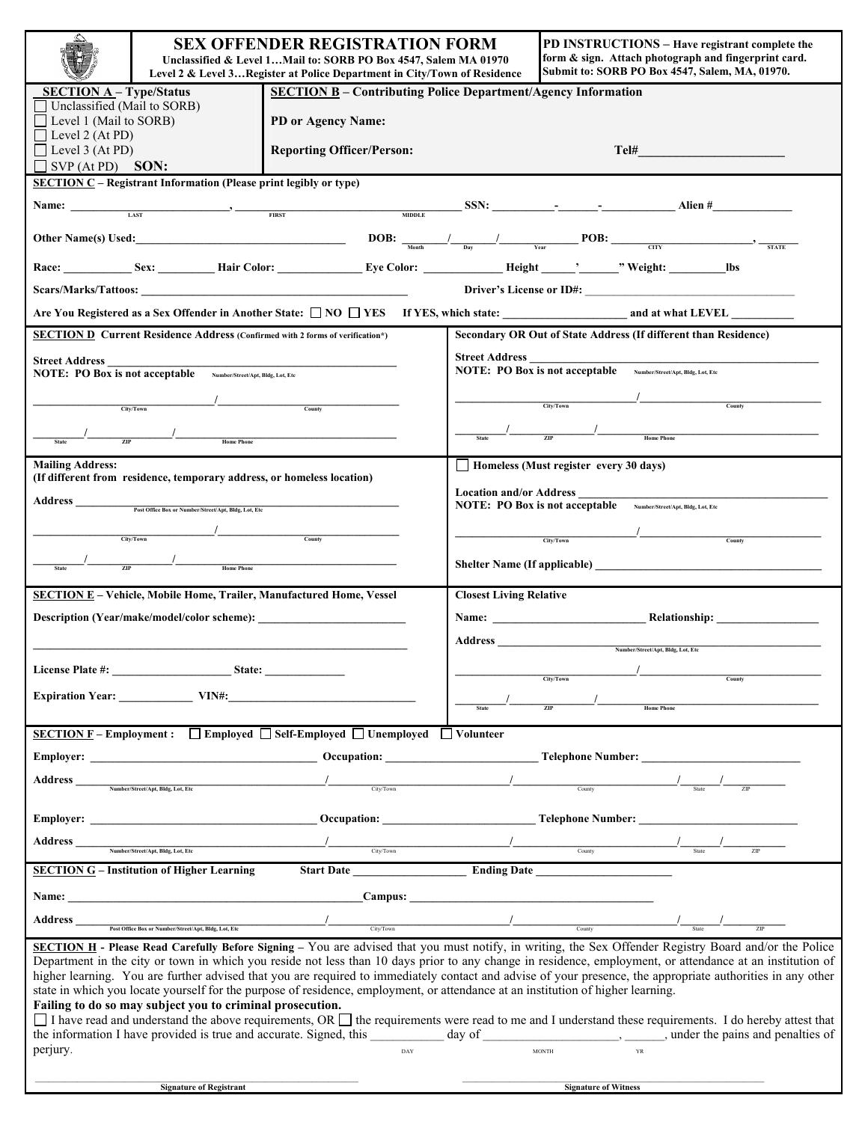|                                                                                                                                                                                                                                                                                                                                                                                                                                                                                                                                                                                                                        | <b>SEX OFFENDER REGISTRATION FORM</b><br>Unclassified & Level 1Mail to: SORB PO Box 4547, Salem MA 01970<br>Level 2 & Level 3Register at Police Department in City/Town of Residence |                                                                                                                                                                                                                                                                                                                                                     |                                                                                           | PD INSTRUCTIONS – Have registrant complete the<br>form & sign. Attach photograph and fingerprint card.<br>Submit to: SORB PO Box 4547, Salem, MA, 01970.                                                                                                                                      |  |
|------------------------------------------------------------------------------------------------------------------------------------------------------------------------------------------------------------------------------------------------------------------------------------------------------------------------------------------------------------------------------------------------------------------------------------------------------------------------------------------------------------------------------------------------------------------------------------------------------------------------|--------------------------------------------------------------------------------------------------------------------------------------------------------------------------------------|-----------------------------------------------------------------------------------------------------------------------------------------------------------------------------------------------------------------------------------------------------------------------------------------------------------------------------------------------------|-------------------------------------------------------------------------------------------|-----------------------------------------------------------------------------------------------------------------------------------------------------------------------------------------------------------------------------------------------------------------------------------------------|--|
| <b>SECTION A - Type/Status</b><br><b>SECTION B</b> – Contributing Police Department/Agency Information<br>Unclassified (Mail to SORB)                                                                                                                                                                                                                                                                                                                                                                                                                                                                                  |                                                                                                                                                                                      |                                                                                                                                                                                                                                                                                                                                                     |                                                                                           |                                                                                                                                                                                                                                                                                               |  |
| $\Box$ Level 1 (Mail to SORB)                                                                                                                                                                                                                                                                                                                                                                                                                                                                                                                                                                                          |                                                                                                                                                                                      | PD or Agency Name:                                                                                                                                                                                                                                                                                                                                  |                                                                                           |                                                                                                                                                                                                                                                                                               |  |
| $\Box$ Level 2 (At PD)<br>$\Box$ Level 3 (At PD)                                                                                                                                                                                                                                                                                                                                                                                                                                                                                                                                                                       |                                                                                                                                                                                      | <b>Reporting Officer/Person:</b>                                                                                                                                                                                                                                                                                                                    |                                                                                           | $Tel\#$ and $Tel\#$                                                                                                                                                                                                                                                                           |  |
| $\exists$ SVP (At PD) SON:                                                                                                                                                                                                                                                                                                                                                                                                                                                                                                                                                                                             |                                                                                                                                                                                      |                                                                                                                                                                                                                                                                                                                                                     |                                                                                           |                                                                                                                                                                                                                                                                                               |  |
| $SECTION C - Registerant Information (Please print legibly or type)$                                                                                                                                                                                                                                                                                                                                                                                                                                                                                                                                                   |                                                                                                                                                                                      |                                                                                                                                                                                                                                                                                                                                                     |                                                                                           |                                                                                                                                                                                                                                                                                               |  |
|                                                                                                                                                                                                                                                                                                                                                                                                                                                                                                                                                                                                                        |                                                                                                                                                                                      |                                                                                                                                                                                                                                                                                                                                                     |                                                                                           | Name: $\frac{1}{1.155}$ $\frac{1}{1.155}$ $\frac{1}{1.155}$ $\frac{1}{1.155}$ $\frac{1}{1.155}$ $\frac{1}{1.155}$ $\frac{1}{1.155}$ $\frac{1}{1.155}$ $\frac{1}{1.155}$ $\frac{1}{1.155}$ $\frac{1}{1.155}$ $\frac{1}{1.155}$ $\frac{1}{1.155}$ $\frac{1}{1.155}$ $\frac{1}{1.155}$ $\frac{1$ |  |
| Other Name(s) Used: $\frac{DOB: \frac{1}{1000} \cdot \frac{1}{1000}}{1000}$ POB: $\frac{1}{1000}$ POB: $\frac{1}{1000}$ POB:                                                                                                                                                                                                                                                                                                                                                                                                                                                                                           |                                                                                                                                                                                      |                                                                                                                                                                                                                                                                                                                                                     |                                                                                           |                                                                                                                                                                                                                                                                                               |  |
|                                                                                                                                                                                                                                                                                                                                                                                                                                                                                                                                                                                                                        |                                                                                                                                                                                      |                                                                                                                                                                                                                                                                                                                                                     |                                                                                           |                                                                                                                                                                                                                                                                                               |  |
|                                                                                                                                                                                                                                                                                                                                                                                                                                                                                                                                                                                                                        |                                                                                                                                                                                      |                                                                                                                                                                                                                                                                                                                                                     |                                                                                           |                                                                                                                                                                                                                                                                                               |  |
|                                                                                                                                                                                                                                                                                                                                                                                                                                                                                                                                                                                                                        |                                                                                                                                                                                      |                                                                                                                                                                                                                                                                                                                                                     |                                                                                           |                                                                                                                                                                                                                                                                                               |  |
| <b>SECTION D Current Residence Address (Confirmed with 2 forms of verification*)</b>                                                                                                                                                                                                                                                                                                                                                                                                                                                                                                                                   |                                                                                                                                                                                      |                                                                                                                                                                                                                                                                                                                                                     | Secondary OR Out of State Address (If different than Residence)                           |                                                                                                                                                                                                                                                                                               |  |
| Street Address<br>NOTE: PO Box is not acceptable Number/Street/Apt, Bldg, Lot, Etc                                                                                                                                                                                                                                                                                                                                                                                                                                                                                                                                     |                                                                                                                                                                                      |                                                                                                                                                                                                                                                                                                                                                     | <b>Street Address</b><br>NOTE: PO Box is not acceptable Number/Street/Apt, Bldg, Lot, Etc |                                                                                                                                                                                                                                                                                               |  |
|                                                                                                                                                                                                                                                                                                                                                                                                                                                                                                                                                                                                                        |                                                                                                                                                                                      |                                                                                                                                                                                                                                                                                                                                                     |                                                                                           |                                                                                                                                                                                                                                                                                               |  |
|                                                                                                                                                                                                                                                                                                                                                                                                                                                                                                                                                                                                                        | $\frac{1}{1}$ City/Town                                                                                                                                                              | $C$ ounty                                                                                                                                                                                                                                                                                                                                           |                                                                                           | $\frac{1}{1}$ City/Town Current County                                                                                                                                                                                                                                                        |  |
|                                                                                                                                                                                                                                                                                                                                                                                                                                                                                                                                                                                                                        | $\frac{1}{\sqrt{11}}$ Home Phone                                                                                                                                                     |                                                                                                                                                                                                                                                                                                                                                     |                                                                                           | Home Phone                                                                                                                                                                                                                                                                                    |  |
|                                                                                                                                                                                                                                                                                                                                                                                                                                                                                                                                                                                                                        |                                                                                                                                                                                      |                                                                                                                                                                                                                                                                                                                                                     |                                                                                           |                                                                                                                                                                                                                                                                                               |  |
| <b>Mailing Address:</b>                                                                                                                                                                                                                                                                                                                                                                                                                                                                                                                                                                                                |                                                                                                                                                                                      |                                                                                                                                                                                                                                                                                                                                                     | Homeless (Must register every 30 days)                                                    |                                                                                                                                                                                                                                                                                               |  |
| (If different from residence, temporary address, or homeless location)                                                                                                                                                                                                                                                                                                                                                                                                                                                                                                                                                 |                                                                                                                                                                                      |                                                                                                                                                                                                                                                                                                                                                     | <b>Location and/or Address</b>                                                            |                                                                                                                                                                                                                                                                                               |  |
| Post Office Box or Number/Street/Apt, Bldg, Lot, Etc                                                                                                                                                                                                                                                                                                                                                                                                                                                                                                                                                                   |                                                                                                                                                                                      |                                                                                                                                                                                                                                                                                                                                                     |                                                                                           | NOTE: PO Box is not acceptable Number/Street/Apt, Bldg, Lot, Etc                                                                                                                                                                                                                              |  |
|                                                                                                                                                                                                                                                                                                                                                                                                                                                                                                                                                                                                                        |                                                                                                                                                                                      |                                                                                                                                                                                                                                                                                                                                                     |                                                                                           | $\frac{1}{\text{City/Down}}$                                                                                                                                                                                                                                                                  |  |
| City/Town<br>County                                                                                                                                                                                                                                                                                                                                                                                                                                                                                                                                                                                                    |                                                                                                                                                                                      |                                                                                                                                                                                                                                                                                                                                                     |                                                                                           | County                                                                                                                                                                                                                                                                                        |  |
|                                                                                                                                                                                                                                                                                                                                                                                                                                                                                                                                                                                                                        |                                                                                                                                                                                      |                                                                                                                                                                                                                                                                                                                                                     |                                                                                           |                                                                                                                                                                                                                                                                                               |  |
| <b>SECTION E-Vehicle, Mobile Home, Trailer, Manufactured Home, Vessel</b>                                                                                                                                                                                                                                                                                                                                                                                                                                                                                                                                              |                                                                                                                                                                                      |                                                                                                                                                                                                                                                                                                                                                     | <b>Closest Living Relative</b>                                                            |                                                                                                                                                                                                                                                                                               |  |
|                                                                                                                                                                                                                                                                                                                                                                                                                                                                                                                                                                                                                        |                                                                                                                                                                                      |                                                                                                                                                                                                                                                                                                                                                     |                                                                                           |                                                                                                                                                                                                                                                                                               |  |
| Description (Year/make/model/color scheme):                                                                                                                                                                                                                                                                                                                                                                                                                                                                                                                                                                            |                                                                                                                                                                                      |                                                                                                                                                                                                                                                                                                                                                     |                                                                                           |                                                                                                                                                                                                                                                                                               |  |
|                                                                                                                                                                                                                                                                                                                                                                                                                                                                                                                                                                                                                        |                                                                                                                                                                                      |                                                                                                                                                                                                                                                                                                                                                     |                                                                                           | Number/Street/Apt, Bldg, Lot, Etc                                                                                                                                                                                                                                                             |  |
| <b>License Plate #:</b>                                                                                                                                                                                                                                                                                                                                                                                                                                                                                                                                                                                                | <u>State:</u>                                                                                                                                                                        |                                                                                                                                                                                                                                                                                                                                                     |                                                                                           |                                                                                                                                                                                                                                                                                               |  |
| Expiration Year: VIN#:                                                                                                                                                                                                                                                                                                                                                                                                                                                                                                                                                                                                 |                                                                                                                                                                                      |                                                                                                                                                                                                                                                                                                                                                     |                                                                                           | City/Town                                                                                                                                                                                                                                                                                     |  |
|                                                                                                                                                                                                                                                                                                                                                                                                                                                                                                                                                                                                                        |                                                                                                                                                                                      |                                                                                                                                                                                                                                                                                                                                                     | <b>State</b>                                                                              | <b>Home Phone</b><br>$\overline{ZIP}$                                                                                                                                                                                                                                                         |  |
| <b>SECTION F</b> – Employment : $\Box$ Employed $\Box$ Self-Employed $\Box$ Unemployed $\Box$ Volunteer                                                                                                                                                                                                                                                                                                                                                                                                                                                                                                                |                                                                                                                                                                                      |                                                                                                                                                                                                                                                                                                                                                     |                                                                                           |                                                                                                                                                                                                                                                                                               |  |
|                                                                                                                                                                                                                                                                                                                                                                                                                                                                                                                                                                                                                        |                                                                                                                                                                                      |                                                                                                                                                                                                                                                                                                                                                     |                                                                                           | Employer: Change of Contract Contract Contract Contract Contract Contract Contract Contract Contract Contract Contract Contract Contract Contract Contract Contract Contract Contract Contract Contract Contract Contract Cont                                                                |  |
|                                                                                                                                                                                                                                                                                                                                                                                                                                                                                                                                                                                                                        |                                                                                                                                                                                      |                                                                                                                                                                                                                                                                                                                                                     |                                                                                           |                                                                                                                                                                                                                                                                                               |  |
| Address                                                                                                                                                                                                                                                                                                                                                                                                                                                                                                                                                                                                                | Number/Street/Apt, Bldg, Lot, Etc                                                                                                                                                    | City/Down                                                                                                                                                                                                                                                                                                                                           |                                                                                           |                                                                                                                                                                                                                                                                                               |  |
|                                                                                                                                                                                                                                                                                                                                                                                                                                                                                                                                                                                                                        |                                                                                                                                                                                      |                                                                                                                                                                                                                                                                                                                                                     |                                                                                           | Employer: Change of Contract Contract Contract Contract Contract Contract Contract Contract Contract Contract Contract Contract Contract Contract Contract Contract Contract Contract Contract Contract Contract Contract Cont                                                                |  |
|                                                                                                                                                                                                                                                                                                                                                                                                                                                                                                                                                                                                                        |                                                                                                                                                                                      |                                                                                                                                                                                                                                                                                                                                                     |                                                                                           |                                                                                                                                                                                                                                                                                               |  |
| Address                                                                                                                                                                                                                                                                                                                                                                                                                                                                                                                                                                                                                | Number/Street/Apt, Bldg, Lot, Etc                                                                                                                                                    | $\frac{1}{\text{City/Down}}$                                                                                                                                                                                                                                                                                                                        |                                                                                           | $\frac{1}{\frac{1}{\sqrt{1-\frac{1}{2}}}}$ $\frac{1}{\sqrt{1-\frac{1}{2}}}}$                                                                                                                                                                                                                  |  |
|                                                                                                                                                                                                                                                                                                                                                                                                                                                                                                                                                                                                                        | <b>SECTION G</b> – Institution of Higher Learning                                                                                                                                    |                                                                                                                                                                                                                                                                                                                                                     |                                                                                           |                                                                                                                                                                                                                                                                                               |  |
|                                                                                                                                                                                                                                                                                                                                                                                                                                                                                                                                                                                                                        |                                                                                                                                                                                      | Name: Campus: Campus: Campus: Campus: Campus: Campus: Campus: Campus: Campus: Campus: Campus: Campus: Campus: Campus: Campus: Campus: Campus: Campus: Campus: Campus: Campus: Campus: Campus: Campus: Campus: Campus: Campus:                                                                                                                       |                                                                                           |                                                                                                                                                                                                                                                                                               |  |
| Address                                                                                                                                                                                                                                                                                                                                                                                                                                                                                                                                                                                                                |                                                                                                                                                                                      | $\begin{picture}(20,10) \put(0,0){\line(1,0){10}} \put(15,0){\line(1,0){10}} \put(15,0){\line(1,0){10}} \put(15,0){\line(1,0){10}} \put(15,0){\line(1,0){10}} \put(15,0){\line(1,0){10}} \put(15,0){\line(1,0){10}} \put(15,0){\line(1,0){10}} \put(15,0){\line(1,0){10}} \put(15,0){\line(1,0){10}} \put(15,0){\line(1,0){10}} \put(15,0){\line(1$ |                                                                                           |                                                                                                                                                                                                                                                                                               |  |
|                                                                                                                                                                                                                                                                                                                                                                                                                                                                                                                                                                                                                        | Post Office Box or Number/Street/Apt, Bldg, Lot, Etc.                                                                                                                                |                                                                                                                                                                                                                                                                                                                                                     |                                                                                           |                                                                                                                                                                                                                                                                                               |  |
| SECTION H - Please Read Carefully Before Signing - You are advised that you must notify, in writing, the Sex Offender Registry Board and/or the Police<br>Department in the city or town in which you reside not less than 10 days prior to any change in residence, employment, or attendance at an institution of<br>higher learning. You are further advised that you are required to immediately contact and advise of your presence, the appropriate authorities in any other<br>state in which you locate yourself for the purpose of residence, employment, or attendance at an institution of higher learning. |                                                                                                                                                                                      |                                                                                                                                                                                                                                                                                                                                                     |                                                                                           |                                                                                                                                                                                                                                                                                               |  |
| Failing to do so may subject you to criminal prosecution.<br>$\Box$ I have read and understand the above requirements, OR $\Box$ the requirements were read to me and I understand these requirements. I do hereby attest that                                                                                                                                                                                                                                                                                                                                                                                         |                                                                                                                                                                                      |                                                                                                                                                                                                                                                                                                                                                     |                                                                                           |                                                                                                                                                                                                                                                                                               |  |
| the information I have provided is true and accurate. Signed, this day of day of the information I have provided is true and accurate. Signed, this day of the pains and penalties of                                                                                                                                                                                                                                                                                                                                                                                                                                  |                                                                                                                                                                                      |                                                                                                                                                                                                                                                                                                                                                     |                                                                                           |                                                                                                                                                                                                                                                                                               |  |
| perjury.                                                                                                                                                                                                                                                                                                                                                                                                                                                                                                                                                                                                               |                                                                                                                                                                                      | DAY                                                                                                                                                                                                                                                                                                                                                 |                                                                                           | <b>MONTH</b>                                                                                                                                                                                                                                                                                  |  |
|                                                                                                                                                                                                                                                                                                                                                                                                                                                                                                                                                                                                                        |                                                                                                                                                                                      |                                                                                                                                                                                                                                                                                                                                                     |                                                                                           |                                                                                                                                                                                                                                                                                               |  |
|                                                                                                                                                                                                                                                                                                                                                                                                                                                                                                                                                                                                                        | <b>Signature of Registrant</b>                                                                                                                                                       |                                                                                                                                                                                                                                                                                                                                                     |                                                                                           | <b>Signature of Witness</b>                                                                                                                                                                                                                                                                   |  |